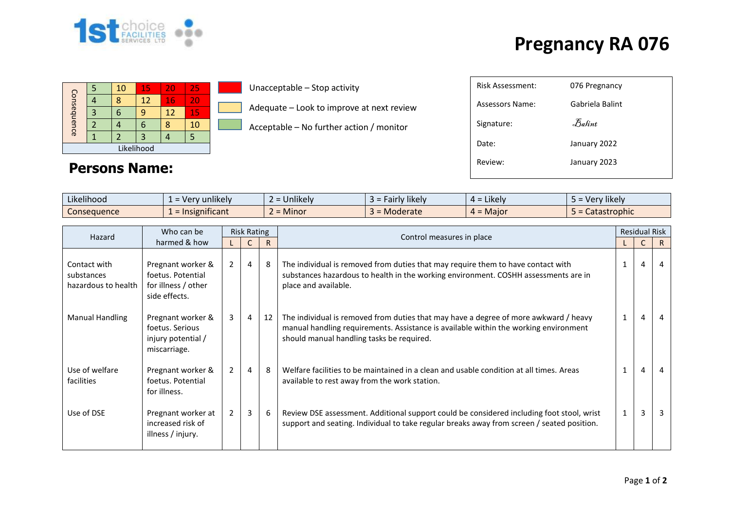

## **Pregnancy RA 076**

| Consequence |   | 10 | 15 | 20 | 25 |  |  |
|-------------|---|----|----|----|----|--|--|
|             |   |    | 12 | 16 | 20 |  |  |
|             | 3 |    |    | 12 | 15 |  |  |
|             |   |    |    |    | 10 |  |  |
|             |   |    |    |    |    |  |  |
| Likelihood  |   |    |    |    |    |  |  |

**Persons Name:**

Unacceptable – Stop activity

Adequate – Look to improve at next review

Acceptable – No further action / monitor

| <b>Risk Assessment:</b> | 076 Pregnancy                  |
|-------------------------|--------------------------------|
| Assessors Name:         | Gabriela Balint                |
| Signature:              | $\mathcal{F}_{\mathit{abint}}$ |
| Date:                   | January 2022                   |
| Review:                 | January 2023                   |
|                         |                                |

| Likelihood  | $\cdots$<br>unlikely<br>= Very  | $\cdots$<br><u>Jnlikelv</u> | likely<br><b>Fairly</b> | $\cdot$ .<br>Likely<br>-- | Very likely  |
|-------------|---------------------------------|-----------------------------|-------------------------|---------------------------|--------------|
| Consequence | $\cdot$ $\cdot$<br>nsignificant | <b>Minor</b><br>∽           | Moderate                | . = Maior                 | Catastrophic |

| Who can be<br>Hazard                              | <b>Risk Rating</b>                                                             |                |                |    |                                                                                                                                                                                                                           | <b>Residual Risk</b> |                |    |
|---------------------------------------------------|--------------------------------------------------------------------------------|----------------|----------------|----|---------------------------------------------------------------------------------------------------------------------------------------------------------------------------------------------------------------------------|----------------------|----------------|----|
| harmed & how                                      |                                                                                |                |                | R  | Control measures in place                                                                                                                                                                                                 |                      |                | R. |
| Contact with<br>substances<br>hazardous to health | Pregnant worker &<br>foetus. Potential<br>for illness / other<br>side effects. | $\overline{2}$ | 4              | 8  | The individual is removed from duties that may require them to have contact with<br>substances hazardous to health in the working environment. COSHH assessments are in<br>place and available.                           |                      | 4              | 4  |
| <b>Manual Handling</b>                            | Pregnant worker &<br>foetus. Serious<br>injury potential /<br>miscarriage.     | 3              | $\overline{4}$ | 12 | The individual is removed from duties that may have a degree of more awkward / heavy<br>manual handling requirements. Assistance is available within the working environment<br>should manual handling tasks be required. | $\mathbf{1}$         | $\overline{4}$ |    |
| Use of welfare<br>facilities                      | Pregnant worker &<br>foetus. Potential<br>for illness.                         | $\overline{2}$ | 4              | 8  | Welfare facilities to be maintained in a clean and usable condition at all times. Areas<br>available to rest away from the work station.                                                                                  |                      | 4              |    |
| Use of DSE                                        | Pregnant worker at<br>increased risk of<br>illness / injury.                   | $\overline{2}$ | $\overline{3}$ | 6  | Review DSE assessment. Additional support could be considered including foot stool, wrist<br>support and seating. Individual to take regular breaks away from screen / seated position.                                   | 1                    | 3              | 3  |